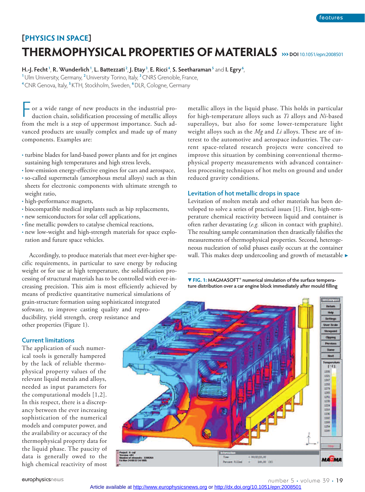# **[PhySICS IN SPACE] thErMOPhySICAl PrOPErtIES OF MAtErIAlS >>> DOI** 10.1051/epn:2008501

#### H.-J. Fecht <sup>1</sup>, **R. Wunderlich <sup>1</sup>, L. Battezzati <sup>2</sup>, J. Etay <sup>3</sup>, E. Ricci <sup>4</sup>, S. Seetharaman <sup>5</sup> and I. Egry <sup>6</sup>** ,

<sup>1</sup> Ulm University, Germany, <sup>2</sup> University Torino, Italy, <sup>3</sup> CNRS Grenoble, France, **<sup>4</sup>**CNR Genova, Italy, **<sup>5</sup>** KTH, Stockholm, Sweden, **<sup>6</sup>**DLR, Cologne, Germany

or a wide range of new products in the industrial production chain, solidification processing of metallic alloys For a wide range of new products in the industrial production chain, solidification processing of metallic alloys from the melt is a step of uppermost importance. Such advanced products are usually complex and made up of many components. Examples are:

- turbine blades for land-based power plants and for jet engines sustaining high temperatures and high stress levels,
- low-emission energy-effective engines for cars and aerospace,
- so-called supermetals (amorphous metal alloys) such as thin sheets for electronic components with ultimate strength to weight ratio,
- high-performance magnets,
- biocompatible medical implants such as hip replacements,
- new semiconductors for solar cell applications,
- fine metallic powders to catalyse chemical reactions,
- new low-weight and high-strength materials for space exploration and future space vehicles.

Accordingly, to produce materials that meet ever-higher specific requirements, in particular to save energy by reducing weight or for use at high temperature, the solidification processing of structural materials has to be controlled with ever-increasing precision. This aim is most efficiently achieved by means of predictive quantitative numerical simulations of grain-structure formation using sophisticated integrated software, to improve casting quality and reproducibility, yield strength, creep resistance and other properties (Figure 1).

### **Current limitations**

The application of such numerical tools is generally hampered by the lack of reliable thermophysical property values of the relevant liquid metals and alloys, needed as input parameters for the computational models [1,2]. In this respect, there is a discrepancy between the ever increasing sophistication of the numerical models and computer power, and the availability or accuracy of the thermophysical property data for the liquid phase. The paucity of data is generally owed to the high chemical reactivity of most

metallic alloys in the liquid phase. This holds in particular for high-temperature alloys such as *Ti* alloys and *Ni*-based superalloys, but also for some lower-temperature light weight alloys such as the *Mg* and *Li* alloys. These are of interest to the automotive and aerospace industries. The current space-related research projects were conceived to improve this situation by combining conventional thermophysical property measurements with advanced containerless processing techniques of hot melts on ground and under reduced gravity conditions.

## **levitation of hot metallic drops in space**

Levitation of molten metals and other materials has been developed to solve a series of practical issues [1]. First, high-temperature chemical reactivity between liquid and container is often rather devastating (*e.g.* silicon in contact with graphite). The resulting sample contamination then drastically falsifies the measurements of thermophysical properties. Second, heterogeneous nucleation of solid phases easily occurs at the container wall. This makes deep undercooling and growth of metastable

- **FIG. 1: MagMasoft® numerical simulation of the surface temperature distribution over a car engine block immediately after mould filling**



europhysicsnews number 5 • volume 39 • 19

Article available at<http://www.europhysicsnews.org>or<http://dx.doi.org/10.1051/epn:2008501>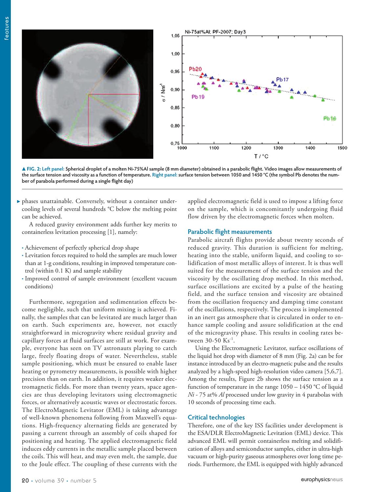

FIG. 2: Left panel: Spherical droplet of a molten Ni-75%AI sample (8 mm diameter) obtained in a parabolic flight. Video images allow measurements of the surface tension and viscosity as a function of temperature. Right panel: surface tension between 1050 and 1450 °C (the symbol Pb denotes the num**ber of parabola performed during a single flight day)**

phases unattainable. Conversely, without a container undercooling levels of several hundreds °C below the melting point can be achieved.

A reduced gravity environment adds further key merits to containerless levitation processing [1], namely:

- Achievement of perfectly spherical drop shape
- Levitation forces required to hold the samples are much lower than at 1-g conditions, resulting in improved temperature control (within 0.1 K) and sample stability
- Improved control of sample environment (excellent vacuum conditions)

Furthermore, segregation and sedimentation effects become negligible, such that uniform mixing is achieved. Finally, the samples that can be levitated are much larger than on earth. Such experiments are, however, not exactly straightforward in microgravity where residual gravity and capillary forces at fluid surfaces are still at work. For example, everyone has seen on TV astronauts playing to catch large, freely floating drops of water. Nevertheless, stable sample positioning, which must be ensured to enable laser heating or pyrometry measurements, is possible with higher precision than on earth. In addition, it requires weaker electromagnetic fields. For more than twenty years, space agencies are thus developing levitators using electromagnetic forces, or alternatively acoustic waves or electrostatic forces. The ElectroMagnetic Levitator (EML) is taking advantage of well-known phenomena following from Maxwell's equations. High-frequency alternating fields are generated by passing a current through an assembly of coils shaped for positioning and heating. The applied electromagnetic field induces eddy currents in the metallic sample placed between the coils. This will heat, and may even melt, the sample, due to the Joule effect. The coupling of these currents with the

applied electromagnetic field is used to impose a lifting force on the sample, which is concomitantly undergoing fluid flow driven by the electromagnetic forces when molten.

#### **Parabolic flight measurements**

Parabolic aircraft flights provide about twenty seconds of reduced gravity. This duration is sufficient for melting, heating into the stable, uniform liquid, and cooling to solidification of most metallic alloys of interest. It is thus well suited for the measurement of the surface tension and the viscosity by the oscillating drop method. In this method, surface oscillations are excited by a pulse of the heating field, and the surface tension and viscosity are obtained from the oscillation frequency and damping time constant of the oscillations, respectively. The process is implemented in an inert gas atmosphere that is circulated in order to enhance sample cooling and assure solidification at the end of the microgravity phase. This results in cooling rates between 30-50 Ks<sup>-1</sup>.

Using the Electromagnetic Levitator, surface oscillations of the liquid hot drop with diameter of 8 mm (Fig. 2a) can be for instance introduced by an electro-magnetic pulse and the results analyzed by a high-speed high-resolution video camera [5,6,7]. Among the results, Figure 2b shows the surface tension as a function of temperature in the range 1050 – 1450 °C of liquid *Ni* - 75 at% *Al* processed under low gravity in 4 parabolas with 10 seconds of processing time each.

#### **Critical technologies**

Therefore, one of the key ISS facilities under development is the ESA/DLR ElectroMagnetic Levitation (EML) device. This advanced EML will permit containerless melting and solidification of alloys and semiconductor samples, either in ultra-high vacuum or high-purity gaseous atmospheres over long time periods. Furthermore, the EML is equipped with highly advanced